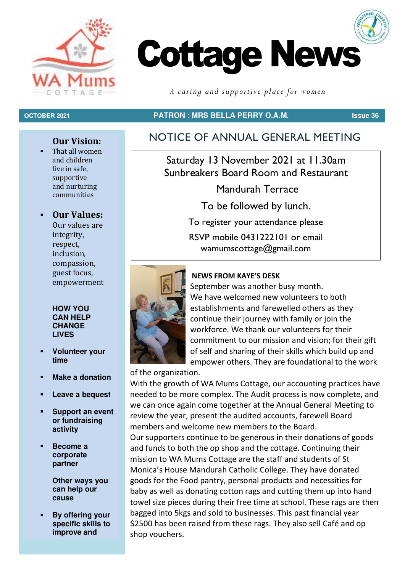



*A caring and supportive place for women*

#### **OCTOBER 2021 PATRON : MRS BELLA PERRY O.A.M. Issue 36**

### **Our Vision:**

That all women and children live in safe, supportive and nurturing communities

#### ▪ **Our Values:**

Our values are integrity, respect, inclusion, compassion, guest focus, empowerment

**HOW YOU CAN HELP CHANGE LIVES** 

- **Volunteer your time**
- **Make a donation**
- Leave a bequest
- **Support an event or fundraising activity**
- Become a **corporate partner**

**Other ways you can help our cause** 

**By offering your specific skills to improve and** 

# NOTICE OF ANNUAL GENERAL MEETING

Saturday 13 November 2021 at 11.30am Sunbreakers Board Room and Restaurant

Mandurah Terrace

To be followed by lunch.

To register your attendance please RSVP mobile 0431222101 or email wamumscottage@gmail.com



#### **NEWS FROM KAYE'S DESK**

September was another busy month. We have welcomed new volunteers to both establishments and farewelled others as they continue their journey with family or join the workforce. We thank our volunteers for their commitment to our mission and vision; for their gift of self and sharing of their skills which build up and empower others. They are foundational to the work

of the organization.

With the growth of WA Mums Cottage, our accounting practices have needed to be more complex. The Audit process is now complete, and we can once again come together at the Annual General Meeting to review the year, present the audited accounts, farewell Board members and welcome new members to the Board.

Our supporters continue to be generous in their donations of goods and funds to both the op shop and the cottage. Continuing their mission to WA Mums Cottage are the staff and students of St Monica's House Mandurah Catholic College. They have donated goods for the Food pantry, personal products and necessities for baby as well as donating cotton rags and cutting them up into hand towel size pieces during their free time at school. These rags are then bagged into 5kgs and sold to businesses. This past financial year \$2500 has been raised from these rags. They also sell Café and op shop vouchers.